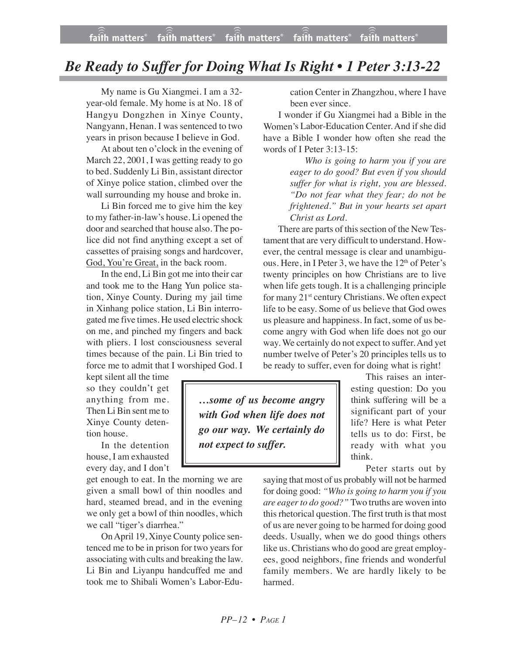## *Be Ready to Suffer for Doing What Is Right • 1 Peter 3:13-22*

My name is Gu Xiangmei. I am a 32 year-old female. My home is at No. 18 of Hangyu Dongzhen in Xinye County, Nangyann, Henan. I was sentenced to two years in prison because I believe in God.

At about ten o'clock in the evening of March 22, 2001, I was getting ready to go to bed. Suddenly Li Bin, assistant director of Xinye police station, climbed over the wall surrounding my house and broke in.

Li Bin forced me to give him the key to my father-in-law's house. Li opened the door and searched that house also. The police did not find anything except a set of cassettes of praising songs and hardcover, God, You're Great, in the back room.

In the end, Li Bin got me into their car and took me to the Hang Yun police station, Xinye County. During my jail time in Xinhang police station, Li Bin interrogated me five times. He used electric shock on me, and pinched my fingers and back with pliers. I lost consciousness several times because of the pain. Li Bin tried to force me to admit that I worshiped God. I

kept silent all the time so they couldn't get anything from me. Then Li Bin sent me to Xinye County detention house.

In the detention house, I am exhausted every day, and I don't

get enough to eat. In the morning we are given a small bowl of thin noodles and hard, steamed bread, and in the evening we only get a bowl of thin noodles, which we call "tiger's diarrhea."

OnApril 19, Xinye County police sentenced me to be in prison for two years for associating with cults and breaking the law. Li Bin and Liyanpu handcuffed me and took me to Shibali Women's Labor-Education Center in Zhangzhou, where I have been ever since.

I wonder if Gu Xiangmei had a Bible in the Women's Labor-Education Center. And if she did have a Bible I wonder how often she read the words of I Peter 3:13-15:

> *Who is going to harm you if you are eager to do good? But even if you should suffer for what is right, you are blessed. "Do not fear what they fear; do not be frightened." But in your hearts set apart Christ as Lord.*

There are parts of this section of the New Testament that are very difficult to understand. However, the central message is clear and unambiguous. Here, in I Peter 3, we have the  $12<sup>th</sup>$  of Peter's twenty principles on how Christians are to live when life gets tough. It is a challenging principle for many 21<sup>st</sup> century Christians. We often expect life to be easy. Some of us believe that God owes us pleasure and happiness. In fact, some of us become angry with God when life does not go our way. We certainly do not expect to suffer. And yet number twelve of Peter's 20 principles tells us to be ready to suffer, even for doing what is right!

*…some of us become angry with God when life does not go our way. We certainly do not expect to suffer.*

This raises an interesting question: Do you think suffering will be a significant part of your life? Here is what Peter tells us to do: First, be ready with what you think.

Peter starts out by

saying that most of us probably will not be harmed for doing good: *"Who is going to harm you if you are eagerto do good?"* Two truths are woven into this rhetorical question. The first truth is that most of us are never going to be harmed for doing good deeds. Usually, when we do good things others like us. Christians who do good are great employees, good neighbors, fine friends and wonderful family members. We are hardly likely to be harmed.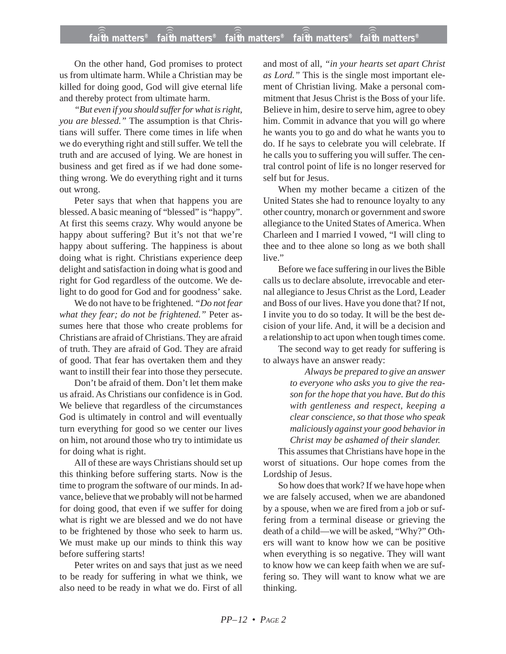## **faith matters® faith matters® faith matters® faith matters® faith matters®** ))) ))) ))) ))) )))

On the other hand, God promises to protect us from ultimate harm. While a Christian may be killed for doing good, God will give eternal life and thereby protect from ultimate harm.

*"But even if you should suffer for what is right, you are blessed."* The assumption is that Christians will suffer. There come times in life when we do everything right and still suffer. We tell the truth and are accused of lying. We are honest in business and get fired as if we had done something wrong. We do everything right and it turns out wrong.

Peter says that when that happens you are blessed. A basic meaning of "blessed" is "happy". At first this seems crazy. Why would anyone be happy about suffering? But it's not that we're happy about suffering. The happiness is about doing what is right. Christians experience deep delight and satisfaction in doing what is good and right for God regardless of the outcome. We delight to do good for God and for goodness' sake.

We do not have to be frightened. *"Do not fear what they fear; do not be frightened."* Peter assumes here that those who create problems for Christians are afraid of Christians. They are afraid of truth. They are afraid of God. They are afraid of good. That fear has overtaken them and they want to instill their fear into those they persecute.

Don't be afraid of them. Don't let them make us afraid. As Christians our confidence is in God. We believe that regardless of the circumstances God is ultimately in control and will eventually turn everything for good so we center our lives on him, not around those who try to intimidate us for doing what is right.

All of these are ways Christians should set up this thinking before suffering starts. Now is the time to program the software of our minds. In advance, believe that we probably will not be harmed for doing good, that even if we suffer for doing what is right we are blessed and we do not have to be frightened by those who seek to harm us. We must make up our minds to think this way before suffering starts!

Peter writes on and says that just as we need to be ready for suffering in what we think, we also need to be ready in what we do. First of all

and most of all, *"in your hearts set apart Christ as Lord."* This is the single most important element of Christian living. Make a personal commitment that Jesus Christ is the Boss of your life. Believe in him, desire to serve him, agree to obey him. Commit in advance that you will go where he wants you to go and do what he wants you to do. If he says to celebrate you will celebrate. If he calls you to suffering you will suffer. The central control point of life is no longer reserved for self but for Jesus.

When my mother became a citizen of the United States she had to renounce loyalty to any other country, monarch or government and swore allegiance to the United States of America. When Charleen and I married I vowed, "I will cling to thee and to thee alone so long as we both shall live."

Before we face suffering in our lives the Bible calls us to declare absolute, irrevocable and eternal allegiance to Jesus Christ as the Lord, Leader and Boss of our lives. Have you done that? If not, I invite you to do so today. It will be the best decision of your life. And, it will be a decision and a relationship to act upon when tough times come.

The second way to get ready for suffering is to always have an answer ready:

> *Always be prepared to give an answer to everyone who asks you to give the reason for the hope that you have. But do this with gentleness and respect, keeping a clear conscience, so that those who speak maliciously against your good behavior in Christ may be ashamed of their slander.*

This assumes that Christians have hope in the worst of situations. Our hope comes from the Lordship of Jesus.

So how does that work? If we have hope when we are falsely accused, when we are abandoned by a spouse, when we are fired from a job or suffering from a terminal disease or grieving the death of a child—we will be asked, "Why?" Others will want to know how we can be positive when everything is so negative. They will want to know how we can keep faith when we are suffering so. They will want to know what we are thinking.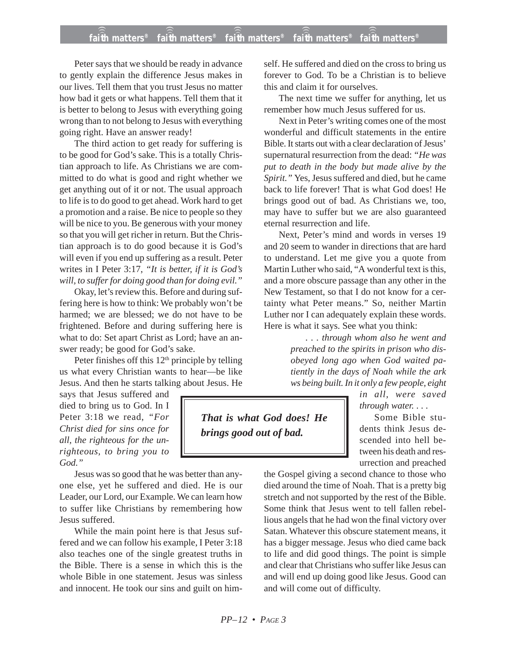## **faith matters® faith matters® faith matters® faith matters® faith matters®** ))) ))) ))) ))) )))

Peter says that we should be ready in advance to gently explain the difference Jesus makes in our lives. Tell them that you trust Jesus no matter how bad it gets or what happens. Tell them that it is better to belong to Jesus with everything going wrong than to not belong to Jesus with everything going right. Have an answer ready!

The third action to get ready for suffering is to be good for God's sake. This is a totally Christian approach to life. As Christians we are committed to do what is good and right whether we get anything out of it or not. The usual approach to life is to do good to get ahead. Work hard to get a promotion and a raise. Be nice to people so they will be nice to you. Be generous with your money so that you will get richer in return. But the Christian approach is to do good because it is God's will even if you end up suffering as a result. Peter writes in I Peter 3:17, *"It is better, if it is God's will, to suffer for doing good than for doing evil."*

Okay, let's review this. Before and during suffering here is how to think: We probably won't be harmed; we are blessed; we do not have to be frightened. Before and during suffering here is what to do: Set apart Christ as Lord; have an answer ready; be good for God's sake.

Peter finishes off this  $12<sup>th</sup>$  principle by telling us what every Christian wants to hear—be like Jesus. And then he starts talking about Jesus. He

says that Jesus suffered and died to bring us to God. In I Peter 3:18 we read, *"For Christ died for sins once for all, the righteous for the unrighteous, to bring you to God."*

Jesus was so good that he was better than anyone else, yet he suffered and died. He is our Leader, our Lord, our Example. We can learn how to suffer like Christians by remembering how Jesus suffered.

While the main point here is that Jesus suffered and we can follow his example, I Peter 3:18 also teaches one of the single greatest truths in the Bible. There is a sense in which this is the whole Bible in one statement. Jesus was sinless and innocent. He took our sins and guilt on himself. He suffered and died on the cross to bring us forever to God. To be a Christian is to believe this and claim it for ourselves.

The next time we suffer for anything, let us remember how much Jesus suffered for us.

Next in Peter's writing comes one of the most wonderful and difficult statements in the entire Bible. It starts out with a clear declaration of Jesus' supernatural resurrection from the dead: *"He was put to death in the body but made alive by the Spirit."* Yes, Jesus suffered and died, but he came back to life forever! That is what God does! He brings good out of bad. As Christians we, too, may have to suffer but we are also guaranteed eternal resurrection and life.

Next, Peter's mind and words in verses 19 and 20 seem to wander in directions that are hard to understand. Let me give you a quote from Martin Luther who said, "A wonderful text is this, and a more obscure passage than any other in the New Testament, so that I do not know for a certainty what Peter means." So, neither Martin Luther nor I can adequately explain these words. Here is what it says. See what you think:

> *. . . through whom also he went and preached to the spirits in prison who disobeyed long ago when God waited patiently in the days of Noah while the ark ws being built. In it only a few people, eight*

*That is what God does! He brings good out of bad.*

*in all, were saved through water. . . .*

Some Bible students think Jesus descended into hell between his death and resurrection and preached

the Gospel giving a second chance to those who died around the time of Noah. That is a pretty big stretch and not supported by the rest of the Bible. Some think that Jesus went to tell fallen rebellious angels that he had won the final victory over Satan. Whatever this obscure statement means, it has a bigger message. Jesus who died came back to life and did good things. The point is simple and clear that Christians who suffer like Jesus can and will end up doing good like Jesus. Good can and will come out of difficulty.